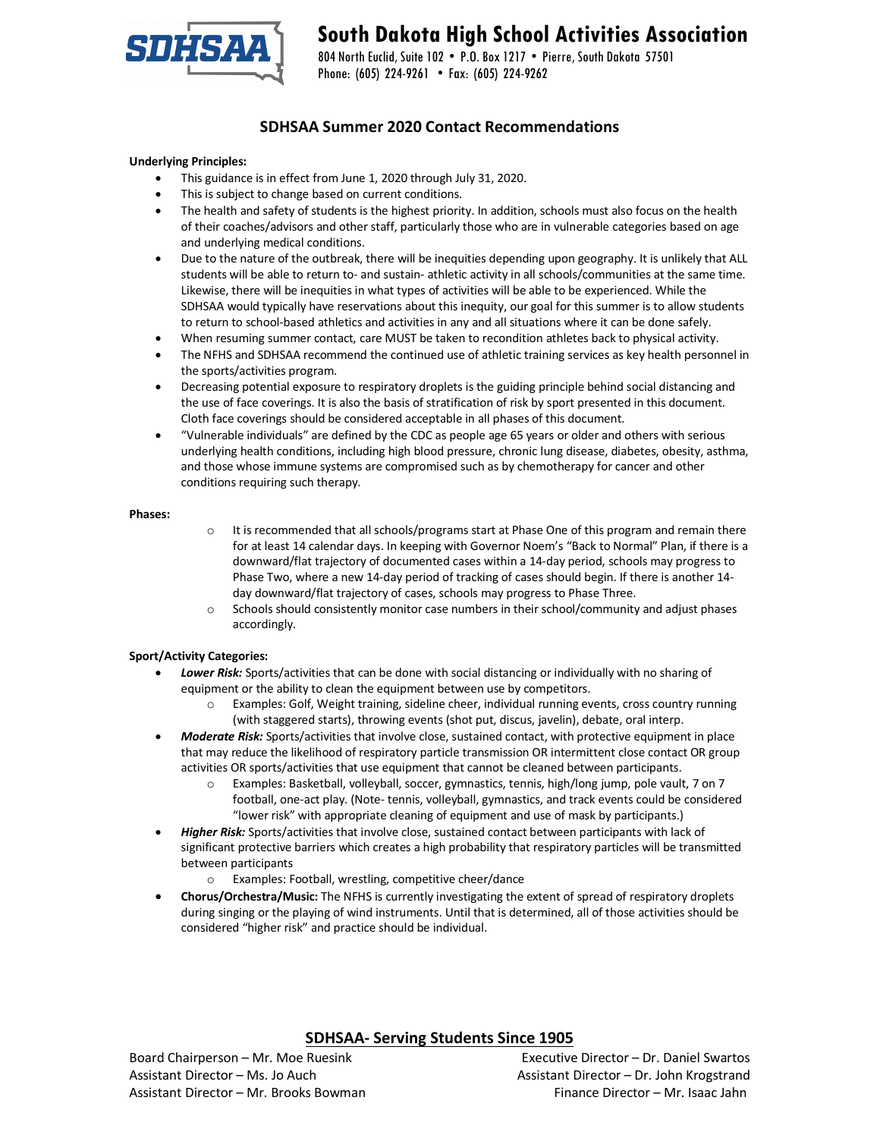

# **South Dakota High School Activities Association**

804 North Euclid, Suite 102 • P.O. Box 1217 • Pierre, South Dakota 57501 Phone: (605) 224-9261 • Fax: (605) 224-9262

# **SDHSAA Summer 2020 Contact Recommendations**

# **Underlying Principles:**

- This guidance is in effect from June 1, 2020 through July 31, 2020.
- This is subject to change based on current conditions.
- The health and safety of students is the highest priority. In addition, schools must also focus on the health of their coaches/advisors and other staff, particularly those who are in vulnerable categories based on age and underlying medical conditions.
- Due to the nature of the outbreak, there will be inequities depending upon geography. It is unlikely that ALL students will be able to return to- and sustain- athletic activity in all schools/communities at the same time. Likewise, there will be inequities in what types of activities will be able to be experienced. While the SDHSAA would typically have reservations about this inequity, our goal for this summer is to allow students to return to school-based athletics and activities in any and all situations where it can be done safely.
- When resuming summer contact, care MUST be taken to recondition athletes back to physical activity.
- The NFHS and SDHSAA recommend the continued use of athletic training services as key health personnel in the sports/activities program.
- Decreasing potential exposure to respiratory droplets is the guiding principle behind social distancing and the use of face coverings. It is also the basis of stratification of risk by sport presented in this document. Cloth face coverings should be considered acceptable in all phases of this document.
- "Vulnerable individuals" are defined by the CDC as people age 65 years or older and others with serious underlying health conditions, including high blood pressure, chronic lung disease, diabetes, obesity, asthma, and those whose immune systems are compromised such as by chemotherapy for cancer and other conditions requiring such therapy.

# **Phases:**

- $\circ$  It is recommended that all schools/programs start at Phase One of this program and remain there for at least 14 calendar days. In keeping with Governor Noem's "Back to Normal" Plan, if there is a downward/flat trajectory of documented cases within a 14-day period, schools may progress to Phase Two, where a new 14-day period of tracking of cases should begin. If there is another 14 day downward/flat trajectory of cases, schools may progress to Phase Three.
- o Schools should consistently monitor case numbers in their school/community and adjust phases accordingly.

# **Sport/Activity Categories:**

- *Lower Risk:* Sports/activities that can be done with social distancing or individually with no sharing of equipment or the ability to clean the equipment between use by competitors.
	- o Examples: Golf, Weight training, sideline cheer, individual running events, cross country running (with staggered starts), throwing events (shot put, discus, javelin), debate, oral interp.
- *Moderate Risk:* Sports/activities that involve close, sustained contact, with protective equipment in place that may reduce the likelihood of respiratory particle transmission OR intermittent close contact OR group activities OR sports/activities that use equipment that cannot be cleaned between participants.
	- o Examples: Basketball, volleyball, soccer, gymnastics, tennis, high/long jump, pole vault, 7 on 7 football, one-act play. (Note- tennis, volleyball, gymnastics, and track events could be considered "lower risk" with appropriate cleaning of equipment and use of mask by participants.)
- *Higher Risk:* Sports/activities that involve close, sustained contact between participants with lack of significant protective barriers which creates a high probability that respiratory particles will be transmitted between participants
	- o Examples: Football, wrestling, competitive cheer/dance
- **Chorus/Orchestra/Music:** The NFHS is currently investigating the extent of spread of respiratory droplets during singing or the playing of wind instruments. Until that is determined, all of those activities should be considered "higher risk" and practice should be individual.

# **SDHSAA- Serving Students Since 1905**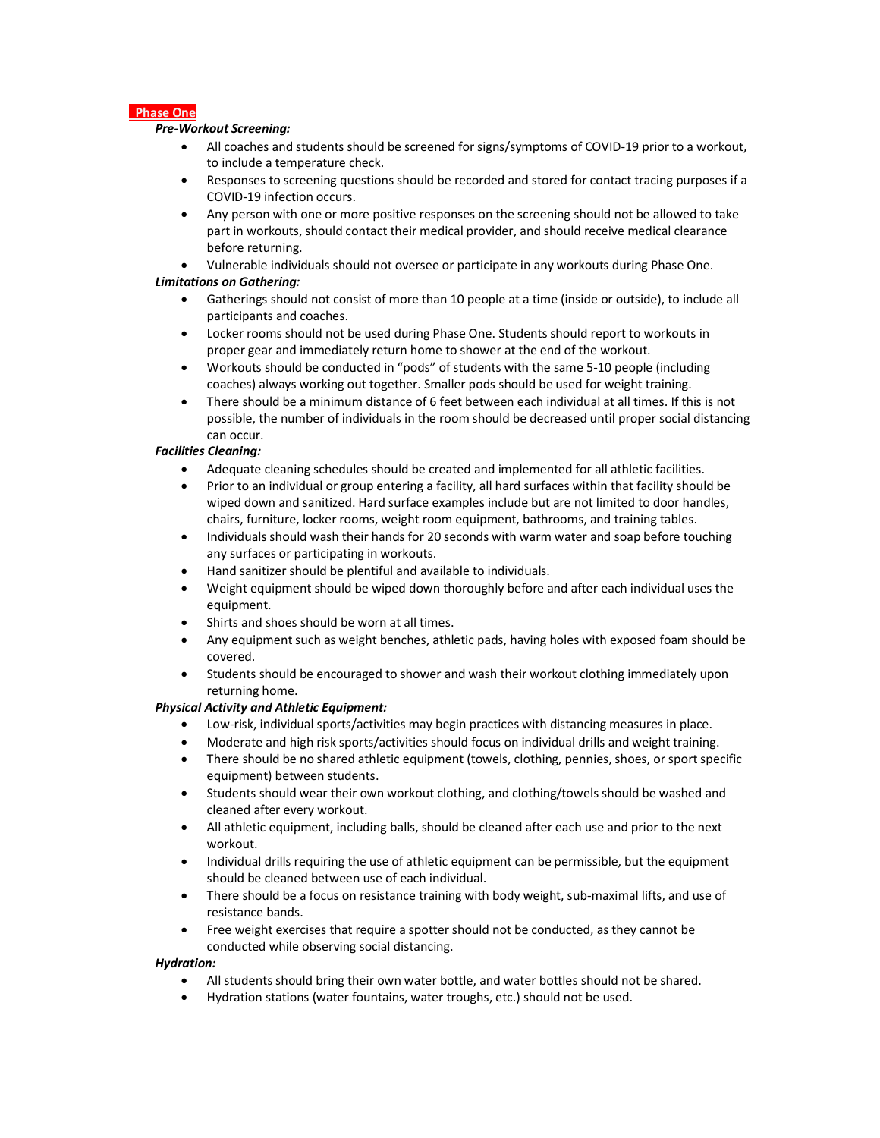# **Phase One**

# *Pre-Workout Screening:*

- All coaches and students should be screened for signs/symptoms of COVID-19 prior to a workout, to include a temperature check.
- Responses to screening questions should be recorded and stored for contact tracing purposes if a COVID-19 infection occurs.
- Any person with one or more positive responses on the screening should not be allowed to take part in workouts, should contact their medical provider, and should receive medical clearance before returning.
- Vulnerable individuals should not oversee or participate in any workouts during Phase One.

# *Limitations on Gathering:*

- Gatherings should not consist of more than 10 people at a time (inside or outside), to include all participants and coaches.
- Locker rooms should not be used during Phase One. Students should report to workouts in proper gear and immediately return home to shower at the end of the workout.
- Workouts should be conducted in "pods" of students with the same 5-10 people (including coaches) always working out together. Smaller pods should be used for weight training.
- There should be a minimum distance of 6 feet between each individual at all times. If this is not possible, the number of individuals in the room should be decreased until proper social distancing can occur.

# *Facilities Cleaning:*

- Adequate cleaning schedules should be created and implemented for all athletic facilities.
- Prior to an individual or group entering a facility, all hard surfaces within that facility should be wiped down and sanitized. Hard surface examples include but are not limited to door handles, chairs, furniture, locker rooms, weight room equipment, bathrooms, and training tables.
- Individuals should wash their hands for 20 seconds with warm water and soap before touching any surfaces or participating in workouts.
- Hand sanitizer should be plentiful and available to individuals.
- Weight equipment should be wiped down thoroughly before and after each individual uses the equipment.
- Shirts and shoes should be worn at all times.
- Any equipment such as weight benches, athletic pads, having holes with exposed foam should be covered.
- Students should be encouraged to shower and wash their workout clothing immediately upon returning home.

# *Physical Activity and Athletic Equipment:*

- Low-risk, individual sports/activities may begin practices with distancing measures in place.
- Moderate and high risk sports/activities should focus on individual drills and weight training.
- There should be no shared athletic equipment (towels, clothing, pennies, shoes, or sport specific equipment) between students.
- Students should wear their own workout clothing, and clothing/towels should be washed and cleaned after every workout.
- All athletic equipment, including balls, should be cleaned after each use and prior to the next workout.
- Individual drills requiring the use of athletic equipment can be permissible, but the equipment should be cleaned between use of each individual.
- There should be a focus on resistance training with body weight, sub-maximal lifts, and use of resistance bands.
- Free weight exercises that require a spotter should not be conducted, as they cannot be conducted while observing social distancing.

# *Hydration:*

- All students should bring their own water bottle, and water bottles should not be shared.
- Hydration stations (water fountains, water troughs, etc.) should not be used.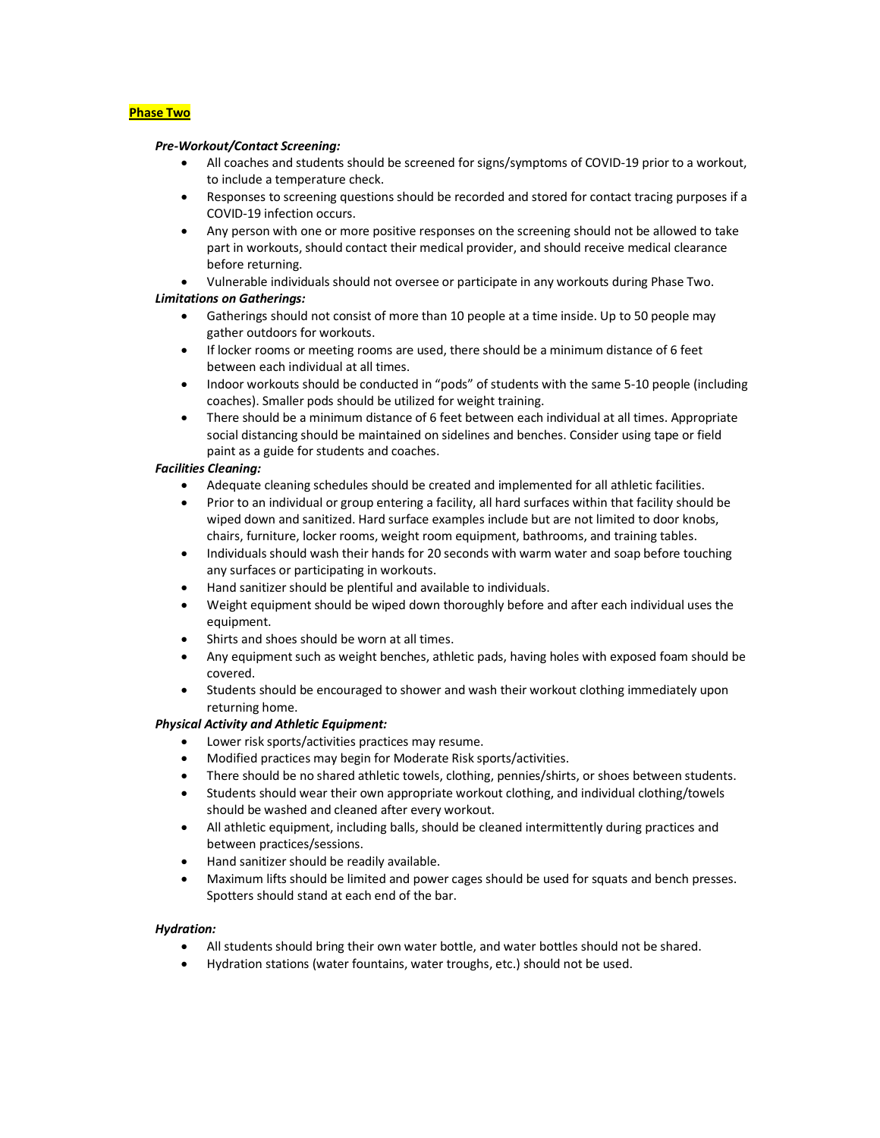# **Phase Two**

#### *Pre-Workout/Contact Screening:*

- All coaches and students should be screened for signs/symptoms of COVID-19 prior to a workout, to include a temperature check.
- Responses to screening questions should be recorded and stored for contact tracing purposes if a COVID-19 infection occurs.
- Any person with one or more positive responses on the screening should not be allowed to take part in workouts, should contact their medical provider, and should receive medical clearance before returning.

• Vulnerable individuals should not oversee or participate in any workouts during Phase Two.

#### *Limitations on Gatherings:*

- Gatherings should not consist of more than 10 people at a time inside. Up to 50 people may gather outdoors for workouts.
- If locker rooms or meeting rooms are used, there should be a minimum distance of 6 feet between each individual at all times.
- Indoor workouts should be conducted in "pods" of students with the same 5-10 people (including coaches). Smaller pods should be utilized for weight training.
- There should be a minimum distance of 6 feet between each individual at all times. Appropriate social distancing should be maintained on sidelines and benches. Consider using tape or field paint as a guide for students and coaches.

#### *Facilities Cleaning:*

- Adequate cleaning schedules should be created and implemented for all athletic facilities.
- Prior to an individual or group entering a facility, all hard surfaces within that facility should be wiped down and sanitized. Hard surface examples include but are not limited to door knobs, chairs, furniture, locker rooms, weight room equipment, bathrooms, and training tables.
- Individuals should wash their hands for 20 seconds with warm water and soap before touching any surfaces or participating in workouts.
- Hand sanitizer should be plentiful and available to individuals.
- Weight equipment should be wiped down thoroughly before and after each individual uses the equipment.
- Shirts and shoes should be worn at all times.
- Any equipment such as weight benches, athletic pads, having holes with exposed foam should be covered.
- Students should be encouraged to shower and wash their workout clothing immediately upon returning home.

# *Physical Activity and Athletic Equipment:*

- Lower risk sports/activities practices may resume.
- Modified practices may begin for Moderate Risk sports/activities.
- There should be no shared athletic towels, clothing, pennies/shirts, or shoes between students.
- Students should wear their own appropriate workout clothing, and individual clothing/towels should be washed and cleaned after every workout.
- All athletic equipment, including balls, should be cleaned intermittently during practices and between practices/sessions.
- Hand sanitizer should be readily available.
- Maximum lifts should be limited and power cages should be used for squats and bench presses. Spotters should stand at each end of the bar.

#### *Hydration:*

- All students should bring their own water bottle, and water bottles should not be shared.
- Hydration stations (water fountains, water troughs, etc.) should not be used.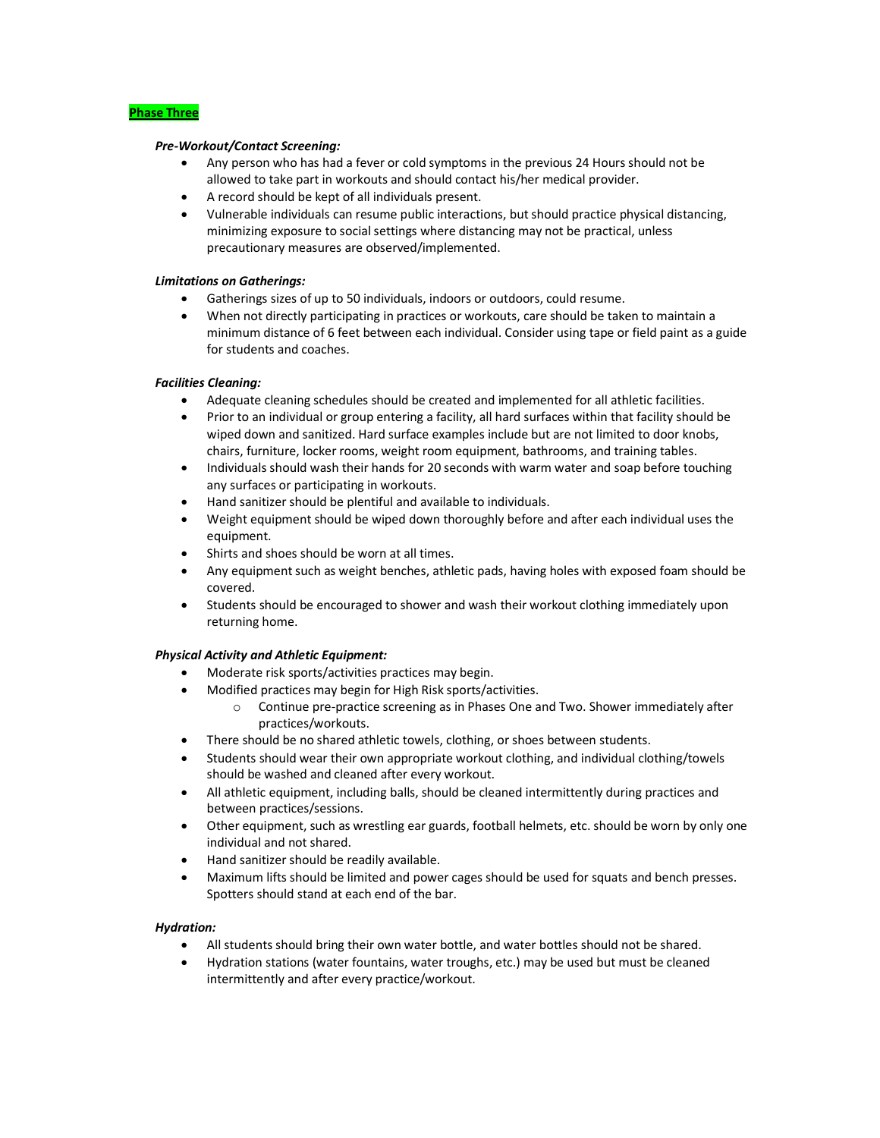# **Phase Three**

#### *Pre-Workout/Contact Screening:*

- Any person who has had a fever or cold symptoms in the previous 24 Hours should not be allowed to take part in workouts and should contact his/her medical provider.
- A record should be kept of all individuals present.
- Vulnerable individuals can resume public interactions, but should practice physical distancing, minimizing exposure to social settings where distancing may not be practical, unless precautionary measures are observed/implemented.

# *Limitations on Gatherings:*

- Gatherings sizes of up to 50 individuals, indoors or outdoors, could resume.
- When not directly participating in practices or workouts, care should be taken to maintain a minimum distance of 6 feet between each individual. Consider using tape or field paint as a guide for students and coaches.

# *Facilities Cleaning:*

- Adequate cleaning schedules should be created and implemented for all athletic facilities.
- Prior to an individual or group entering a facility, all hard surfaces within that facility should be wiped down and sanitized. Hard surface examples include but are not limited to door knobs, chairs, furniture, locker rooms, weight room equipment, bathrooms, and training tables.
- Individuals should wash their hands for 20 seconds with warm water and soap before touching any surfaces or participating in workouts.
- Hand sanitizer should be plentiful and available to individuals.
- Weight equipment should be wiped down thoroughly before and after each individual uses the equipment.
- Shirts and shoes should be worn at all times.
- Any equipment such as weight benches, athletic pads, having holes with exposed foam should be covered.
- Students should be encouraged to shower and wash their workout clothing immediately upon returning home.

# *Physical Activity and Athletic Equipment:*

- Moderate risk sports/activities practices may begin.
- Modified practices may begin for High Risk sports/activities.
	- $\circ$  Continue pre-practice screening as in Phases One and Two. Shower immediately after practices/workouts.
- There should be no shared athletic towels, clothing, or shoes between students.
- Students should wear their own appropriate workout clothing, and individual clothing/towels should be washed and cleaned after every workout.
- All athletic equipment, including balls, should be cleaned intermittently during practices and between practices/sessions.
- Other equipment, such as wrestling ear guards, football helmets, etc. should be worn by only one individual and not shared.
- Hand sanitizer should be readily available.
- Maximum lifts should be limited and power cages should be used for squats and bench presses. Spotters should stand at each end of the bar.

# *Hydration:*

- All students should bring their own water bottle, and water bottles should not be shared.
- Hydration stations (water fountains, water troughs, etc.) may be used but must be cleaned intermittently and after every practice/workout.